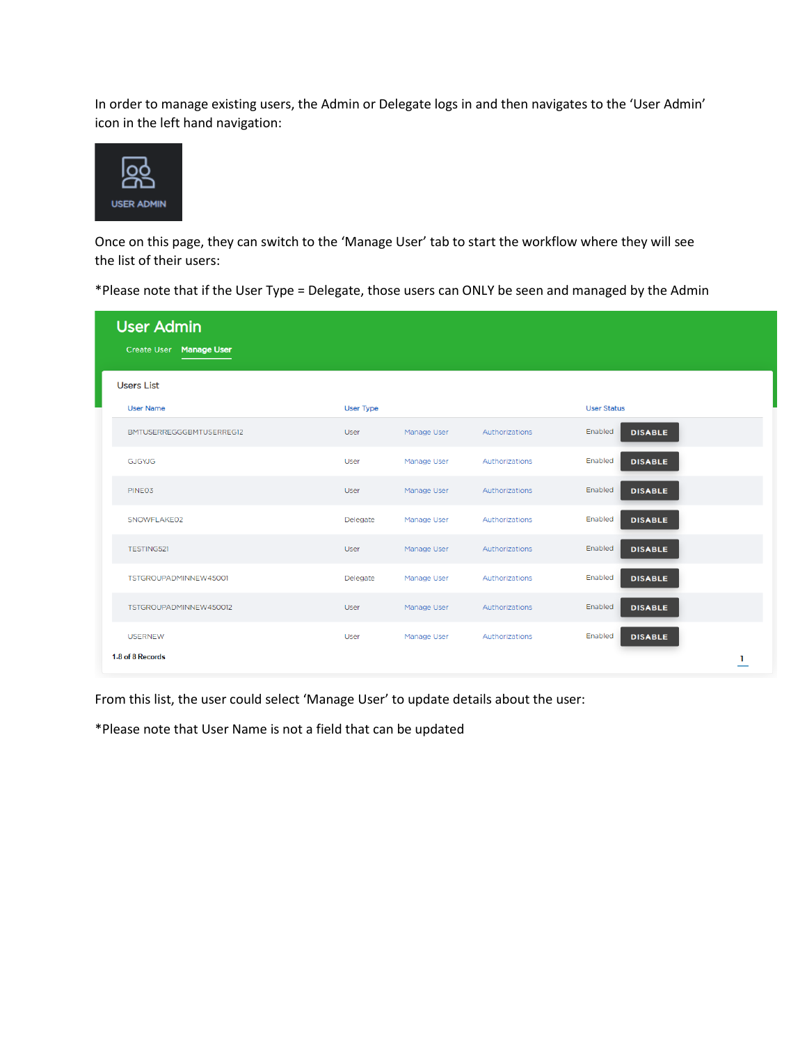In order to manage existing users, the Admin or Delegate logs in and then navigates to the 'User Admin' icon in the left hand navigation:



Once on this page, they can switch to the 'Manage User' tab to start the workflow where they will see the list of their users:

\*Please note that if the User Type = Delegate, those users can ONLY be seen and managed by the Admin

| <b>User Admin</b><br><b>Manage User</b><br><b>Create User</b> |                  |             |                |                           |
|---------------------------------------------------------------|------------------|-------------|----------------|---------------------------|
| <b>Users List</b>                                             |                  |             |                |                           |
| <b>User Name</b>                                              | <b>User Type</b> |             |                | <b>User Status</b>        |
| BMTUSERREGGGBMTUSERREG12                                      | User             | Manage User | Authorizations | Enabled<br><b>DISABLE</b> |
| <b>GJGYJG</b>                                                 | User             | Manage User | Authorizations | Enabled<br><b>DISABLE</b> |
| PINE03                                                        | User             | Manage User | Authorizations | Enabled<br><b>DISABLE</b> |
| SNOWFLAKE02                                                   | Delegate         | Manage User | Authorizations | Enabled<br><b>DISABLE</b> |
| <b>TESTING521</b>                                             | User             | Manage User | Authorizations | Enabled<br><b>DISABLE</b> |
| TSTGROUPADMINNEW45001                                         | Delegate         | Manage User | Authorizations | Enabled<br><b>DISABLE</b> |
| TSTGROUPADMINNEW450012                                        | User             | Manage User | Authorizations | Enabled<br><b>DISABLE</b> |
| <b>USERNEW</b>                                                | User             | Manage User | Authorizations | Enabled<br><b>DISABLE</b> |
| 1-8 of 8 Records                                              |                  |             |                | 1                         |

From this list, the user could select 'Manage User' to update details about the user:

\*Please note that User Name is not a field that can be updated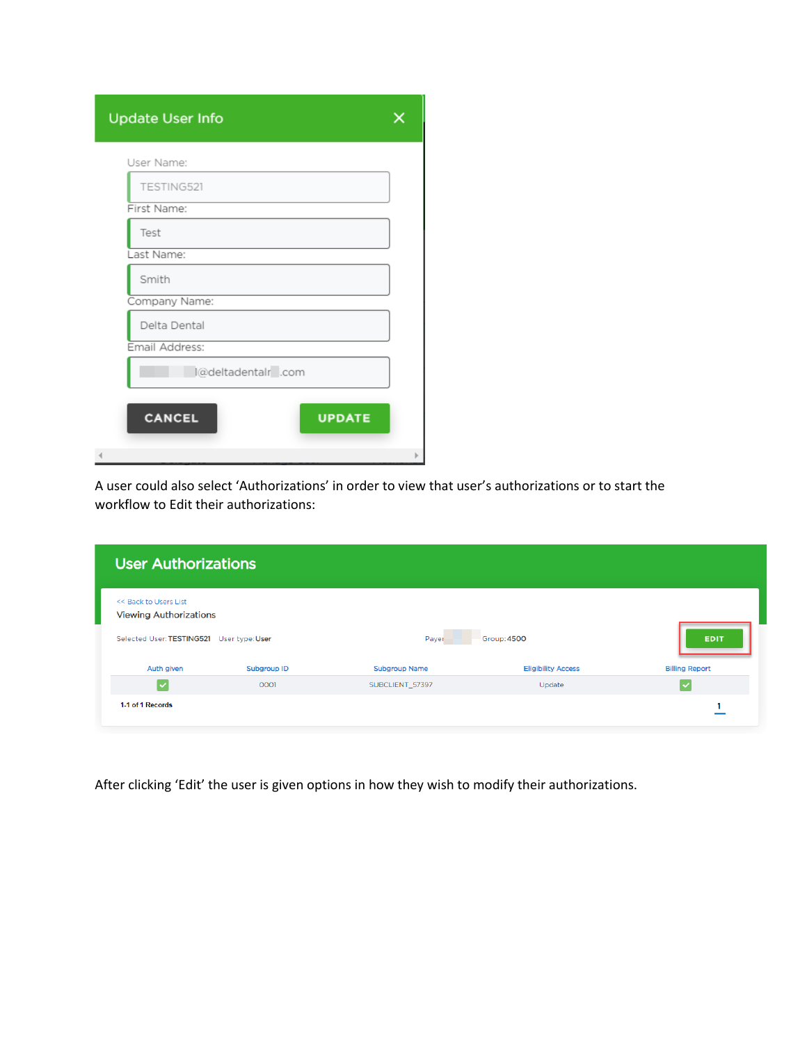| <b>Update User Info</b>        |   |
|--------------------------------|---|
| User Name:                     |   |
| TESTING521                     |   |
| First Name:                    |   |
| Test                           |   |
| Last Name:                     |   |
| Smith                          |   |
| Company Name:                  |   |
| Delta Dental                   |   |
| Email Address:                 |   |
| l@deltadentalr .com            |   |
| <b>CANCEL</b><br><b>UPDATE</b> |   |
| $\blacktriangleleft$           | Þ |

A user could also select 'Authorizations' in order to view that user's authorizations or to start the workflow to Edit their authorizations:

| <b>User Authorizations</b>                                                                          |             |                      |                           |                       |
|-----------------------------------------------------------------------------------------------------|-------------|----------------------|---------------------------|-----------------------|
| << Back to Users List<br><b>Viewing Authorizations</b><br>Selected User: TESTING521 User type: User |             | Payer                | Group: 4500               | <b>EDIT</b>           |
| Auth given                                                                                          | Subgroup ID | <b>Subgroup Name</b> | <b>Eligibility Access</b> | <b>Billing Report</b> |
| $\blacktriangledown$                                                                                | 0001        | SUBCLIENT_57397      | Update                    |                       |
| 1-1 of 1 Records                                                                                    |             |                      |                           |                       |

After clicking 'Edit' the user is given options in how they wish to modify their authorizations.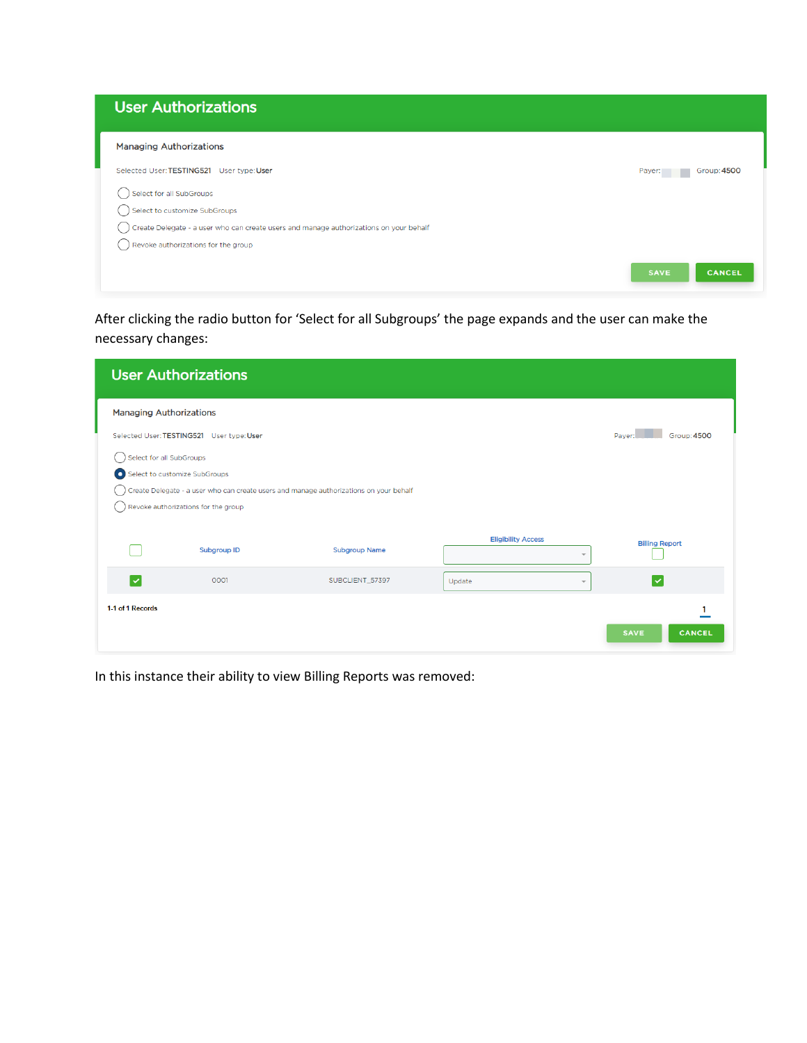| <b>User Authorizations</b>                                                             |                              |
|----------------------------------------------------------------------------------------|------------------------------|
| <b>Managing Authorizations</b>                                                         |                              |
| Selected User: TESTING521 User type: User                                              | Payer:<br>Group: 4500        |
| Select for all SubGroups                                                               |                              |
| Select to customize SubGroups                                                          |                              |
| Create Delegate - a user who can create users and manage authorizations on your behalf |                              |
| Revoke authorizations for the group                                                    |                              |
|                                                                                        | <b>SAVE</b><br><b>CANCEL</b> |

After clicking the radio button for 'Select for all Subgroups' the page expands and the user can make the necessary changes:

|                                | <b>User Authorizations</b>                                           |                                                                                        |                                   |                              |
|--------------------------------|----------------------------------------------------------------------|----------------------------------------------------------------------------------------|-----------------------------------|------------------------------|
| <b>Managing Authorizations</b> |                                                                      |                                                                                        |                                   |                              |
|                                | Selected User: TESTING521 User type: User                            |                                                                                        |                                   | Payer:<br><b>Group: 4500</b> |
| Select for all SubGroups       | Select to customize SubGroups<br>Revoke authorizations for the group | Create Delegate - a user who can create users and manage authorizations on your behalf |                                   |                              |
|                                | Subgroup ID                                                          | <b>Subgroup Name</b>                                                                   | <b>Eligibility Access</b><br>÷    | <b>Billing Report</b>        |
| $\overline{\mathsf{v}}$        | 0001                                                                 | SUBCLIENT_57397                                                                        | Update<br>$\overline{\mathbf{v}}$ | $\checkmark$                 |
| 1-1 of 1 Records               |                                                                      |                                                                                        |                                   | <b>CANCEL</b><br><b>SAVE</b> |

In this instance their ability to view Billing Reports was removed: